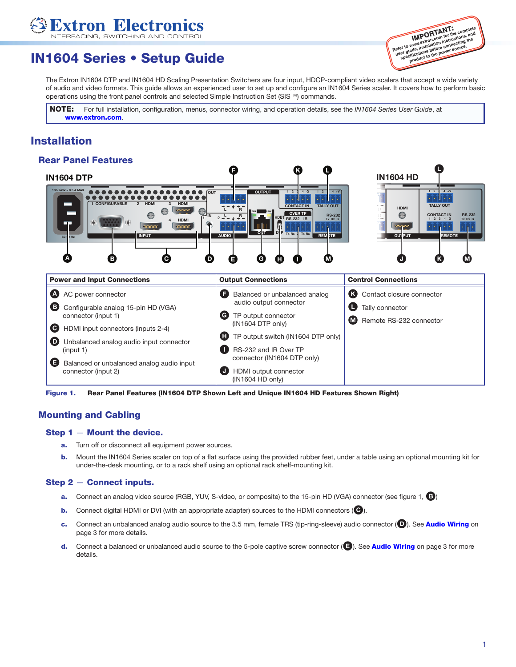# IN1604 Series • Setup Guide

**xtron Electron** 



The Extron IN1604 DTP and IN1604 HD Scaling Presentation Switchers are four input, HDCP-compliant video scalers that accept a wide variety of audio and video formats. This guide allows an experienced user to set up and configure an IN1604 Series scaler. It covers how to perform basic operations using the front panel controls and selected Simple Instruction Set (SIS™) commands.

**IMPORTANT:** NOTE: For full installation, configuration, menus, connector wiring, and operation details, see the *IN1604 Series User Guide*, at [www.extron.com](http://www.extron.com).

## Installation

#### Rear Panel Features



Figure 1. Rear Panel Features (IN1604 DTP Shown Left and Unique IN1604 HD Features Shown Right)

#### Mounting and Cabling

#### Step 1 — Mount the device.

- **a.** Turn off or disconnect all equipment power sources.
- **b.** Mount the IN1604 Series scaler on top of a flat surface using the provided rubber feet, under a table using an optional mounting kit for under-the-desk mounting, or to a rack shelf using an optional rack shelf-mounting kit.

#### Step 2 — Connect inputs.

- a. Connect an analog video source (RGB, YUV, S-video, or composite) to the 15-pin HD (VGA) connector (see figure 1,  $\bullet$ )
- **b.** Connect digital HDMI or DVI (with an appropriate adapter) sources to the HDMI connectors ( $\bigodot$ ).
- c. Connect an unbalanced analog audio source to the 3.5 mm, female TRS (tip-ring-sleeve) audio connector ( $\bigcirc$ ). See [Audio Wiring](#page-2-0) on page 3 for more details.
- d. Connect a balanced or unbalanced audio source to the 5-pole captive screw connector (**B**). See **[Audio Wiring](#page-2-0)** on page 3 for more details.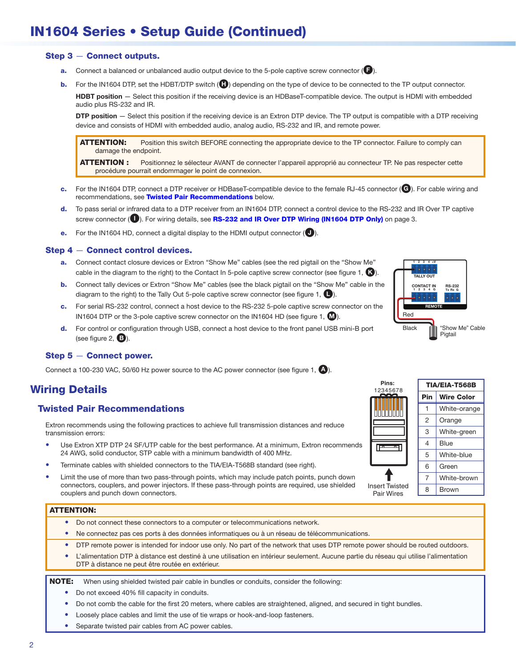# IN1604 Series • Setup Guide (Continued)

#### Step 3 — Connect outputs.

- **a.** Connect a balanced or unbalanced audio output device to the 5-pole captive screw connector ( $\Box$ ).
- **b.** For the IN1604 DTP, set the HDBT/DTP switch ( $\Box$ ) depending on the type of device to be connected to the TP output connector.

HDBT position - Select this position if the receiving device is an HDBaseT-compatible device. The output is HDMI with embedded audio plus RS-232 and IR.

DTP position - Select this position if the receiving device is an Extron DTP device. The TP output is compatible with a DTP receiving device and consists of HDMI with embedded audio, analog audio, RS-232 and IR, and remote power.

ATTENTION: Position this switch BEFORE connecting the appropriate device to the TP connector. Failure to comply can damage the endpoint.

ATTENTION : Positionnez le sélecteur AVANT de connecter l'appareil approprié au connecteur TP. Ne pas respecter cette procédure pourrait endommager le point de connexion.

- c. For the IN1604 DTP, connect a DTP receiver or HDBaseT-compatible device to the female RJ-45 connector (G). For cable wiring and recommendations, see [Twisted Pair Recommendations](#page-1-0) below.
- d. To pass serial or infrared data to a DTP receiver from an IN1604 DTP, connect a control device to the RS-232 and IR Over TP captive screw connector (**Q**). For wiring details, see [RS-232 and IR Over DTP Wiring \(IN1604 DTP Only\)](#page-2-1) on page 3.
- e. For the IN1604 HD, connect a digital display to the HDMI output connector  $(\bigcirc)$ .

#### Step 4 — Connect control devices.

- a. Connect contact closure devices or Extron "Show Me" cables (see the red pigtail on the "Show Me" cable in the diagram to the right) to the Contact In 5-pole captive screw connector (see figure 1,  $\bigcirc$ ).
- b. Connect tally devices or Extron "Show Me" cables (see the black pigtail on the "Show Me" cable in the diagram to the right) to the Tally Out 5-pole captive screw connector (see figure 1,  $\Box$ ).
- c. For serial RS-232 control, connect a host device to the RS-232 5-pole captive screw connector on the IN1604 DTP or the 3-pole captive screw connector on the IN1604 HD (see figure 1,  $\mathbf{\omega}$ ).
- d. For control or configuration through USB, connect a host device to the front panel USB mini-B port (see figure  $2, 3$ ).

#### Step 5 — Connect power.

Connect a 100-230 VAC, 50/60 Hz power source to the AC power connector (see figure 1,  $\Box$ ).

# Wiring Details

#### <span id="page-1-0"></span>Twisted Pair Recommendations

Extron recommends using the following practices to achieve full transmission distances and reduce transmission errors:

- Use Extron XTP DTP 24 SF/UTP cable for the best performance. At a minimum, Extron recommends 24 AWG, solid conductor, STP cable with a minimum bandwidth of 400 MHz.
- Terminate cables with shielded connectors to the TIA/EIA-T568B standard (see right).
- Limit the use of more than two pass-through points, which may include patch points, punch down connectors, couplers, and power injectors. If these pass-through points are required, use shielded couplers and punch down connectors.

#### ATTENTION:

- Do not connect these connectors to a computer or telecommunications network.
- • Ne connectez pas ces ports à des données informatiques ou à un réseau de télécommunications.
- DTP remote power is intended for indoor use only. No part of the network that uses DTP remote power should be routed outdoors.
- L'alimentation DTP à distance est destiné à une utilisation en intérieur seulement. Aucune partie du réseau qui utilise l'alimentation DTP à distance ne peut être routée en extérieur.

#### **NOTE:** When using shielded twisted pair cable in bundles or conduits, consider the following:

- Do not exceed 40% fill capacity in conduits.
- Do not comb the cable for the first 20 meters, where cables are straightened, aligned, and secured in tight bundles.
- Loosely place cables and limit the use of tie wraps or hook-and-loop fasteners.
- Separate twisted pair cables from AC power cables.



| 8         | TIA/EIA-T568B  |                   |  |  |
|-----------|----------------|-------------------|--|--|
|           | Pin            | <b>Wire Color</b> |  |  |
|           |                | White-orange      |  |  |
|           | $\overline{2}$ | Orange            |  |  |
|           | 3              | White-green       |  |  |
|           | 4              | <b>Blue</b>       |  |  |
|           | 5              | White-blue        |  |  |
|           | 6              | Green             |  |  |
|           | $\overline{7}$ | White-brown       |  |  |
| ted<br>۱S | 8              | Brown             |  |  |

# **Pins:** 1234567  $\frac{1}{\sqrt{1-\frac{1}{2}}}$ **Insert Twist Pair Wire**

**RJ-45 Connecticut**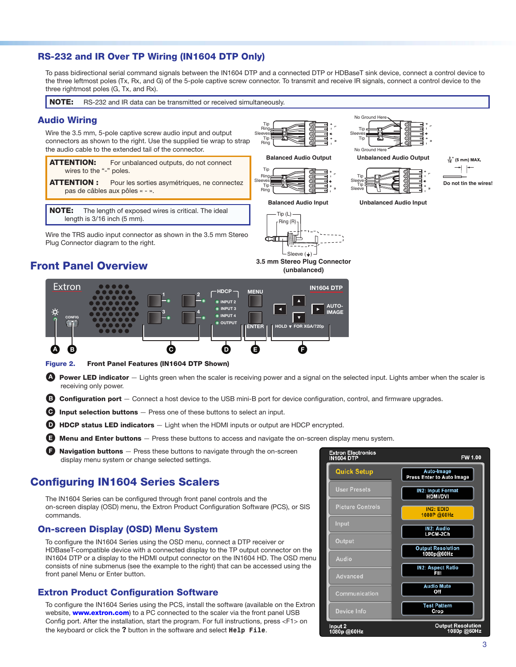#### <span id="page-2-1"></span>RS-232 and IR Over TP Wiring (IN1604 DTP Only)

To pass bidirectional serial command signals between the IN1604 DTP and a connected DTP or HDBaseT sink device, connect a control device to the three leftmost poles (Tx, Rx, and G) of the 5-pole captive screw connector. To transmit and receive IR signals, connect a control device to the three rightmost poles (G, Tx, and Rx). **RCA Connector**

<span id="page-2-0"></span>NOTE: RS-232 and IR data can be transmitted or received simultaneously. No Ground Here Audio Wiring Tip  $\sim$ Ring **L**Tip Wire the 3.5 mm, 5-pole captive screw audio input and output Ring (-)  $\overline{\mathbf{S}}$ Sleeves Tip Tip connectors as shown to the right. Use the supplied tie wrap to strap **R** Ring the audio cable to the extended tail of the connector. No Ground Here **Balanced Audio Output Unbalanced Audio Output**  $\frac{3}{16}$ " (5 mm) MAX. **ATTENTION:** For unbalanced outputs, do not connect Tip ⊣⊦ wires to the "-" poles. **3.5 mm Stereo Plug Connection** Ring Tip **L**Sleeve (balanced)<br>1921 - Johann Alexander<br>1922 - Johann Alexander<br>1922 - Johann Alexander<br>1922 - Johann Alexander<br>1922 - Johann Alexander<br>1922 - Johann Alexander<br>1922 - Johann Alexander **ATTENTION :** Pour les sorties asymétriques, ne connectez **Do not tin the wires!** Tip Tip Ring **Sleeve** pas de câbles aux pôles « - ». **Balanced Audio Input Unbalanced Audio Input** NOTE: The length of exposed wires is critical. The ideal Tip (L) length is 3/16 inch (5 mm). Ring (R)

Wire the TRS audio input connector as shown in the 3.5 mm Stereo Plug Connector diagram to the right.



**3.5 mm Stereo Plug Connector (unbalanced)**



Figure 2. Front Panel Features (IN1604 DTP Shown)

**A** Power LED indicator — Lights green when the scaler is receiving power and a signal on the selected input. Lights amber when the scaler is receiving only power.

**B Configuration port** - Connect a host device to the USB mini-B port for device configuration, control, and firmware upgrades.

 $\Theta$  Input selection buttons  $-$  Press one of these buttons to select an input.

 $\bullet$  HDCP status LED indicators  $-$  Light when the HDMI inputs or output are HDCP encrypted.

**E** Menu and Enter buttons – Press these buttons to access and navigate the on-screen display menu system.

**Navigation buttons**  $-$  Press these buttons to navigate through the on-screen display menu system or change selected settings.

### Configuring IN1604 Series Scalers

The IN1604 Series can be configured through front panel controls and the on-screen display (OSD) menu, the Extron Product Configuration Software (PCS), or SIS commands.

#### On-screen Display (OSD) Menu System

To configure the IN1604 Series using the OSD menu, connect a DTP receiver or HDBaseT-compatible device with a connected display to the TP output connector on the IN1604 DTP or a display to the HDMI output connector on the IN1604 HD. The OSD menu consists of nine submenus (see the example to the right) that can be accessed using the front panel Menu or Enter button.

#### Extron Product Configuration Software

To configure the IN1604 Series using the PCS, install the software (available on the Extron website, **[www.extron.com](http://www.extron.com)**) to a PC connected to the scaler via the front panel USB Config port. After the installation, start the program. For full instructions, press <F1> on the keyboard or click the **?** button in the software and select **Help File**.



# Front Panel Overview